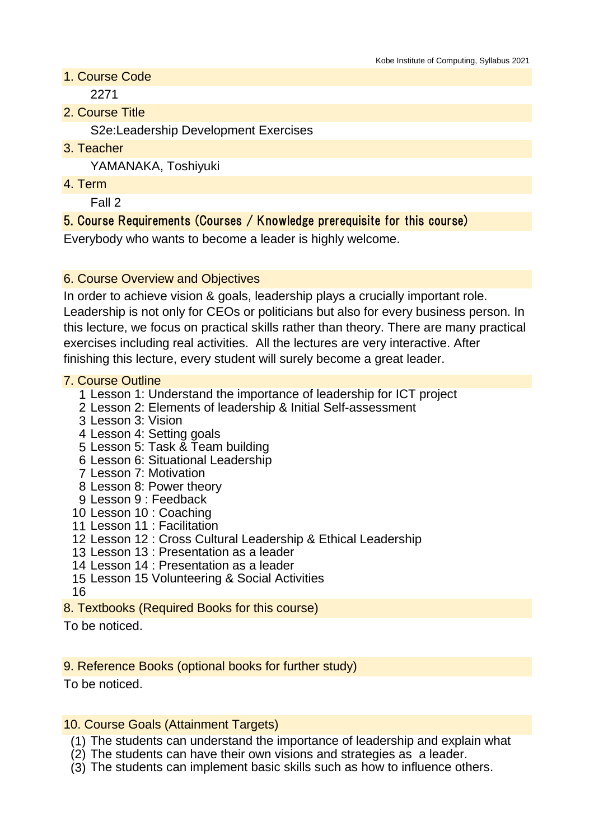1. Course Code

2271

2. Course Title

S2e:Leadership Development Exercises

3. Teacher

YAMANAKA, Toshiyuki

4. Term

Fall 2

# 5. Course Requirements (Courses / Knowledge prerequisite for this course)

Everybody who wants to become a leader is highly welcome.

## 6. Course Overview and Objectives

In order to achieve vision & goals, leadership plays a crucially important role. Leadership is not only for CEOs or politicians but also for every business person. In this lecture, we focus on practical skills rather than theory. There are many practical exercises including real activities. All the lectures are very interactive. After finishing this lecture, every student will surely become a great leader.

## 7. Course Outline

- 1 Lesson 1: Understand the importance of leadership for ICT project
- 2 Lesson 2: Elements of leadership & Initial Self-assessment
- 3 Lesson 3: Vision
- 4 Lesson 4: Setting goals
- 5 Lesson 5: Task & Team building
- 6 Lesson 6: Situational Leadership
- 7 Lesson 7: Motivation
- 8 Lesson 8: Power theory
- 9 Lesson 9 : Feedback
- 10 Lesson 10 : Coaching
- 11 Lesson 11 : Facilitation
- 12 Lesson 12 : Cross Cultural Leadership & Ethical Leadership
- 13 Lesson 13 : Presentation as a leader
- 14 Lesson 14 : Presentation as a leader
- 15 Lesson 15 Volunteering & Social Activities
- 16
- 8. Textbooks (Required Books for this course)

To be noticed.

## 9. Reference Books (optional books for further study)

To be noticed.

## 10. Course Goals (Attainment Targets)

- (1) The students can understand the importance of leadership and explain what
- (2) The students can have their own visions and strategies as a leader.
- (3) The students can implement basic skills such as how to influence others.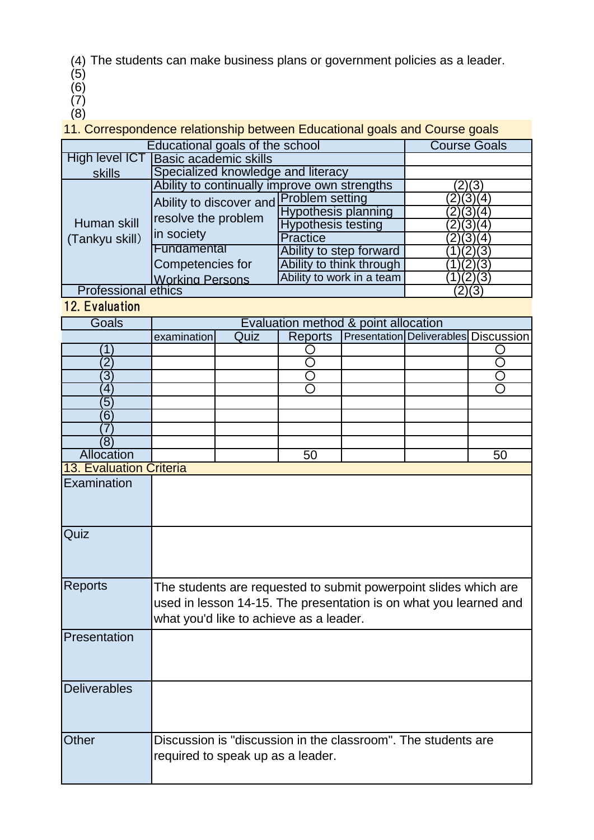(4) The students can make business plans or government policies as a leader.

- (5)
- (6)
- (7) (8)

11. Correspondence relationship between Educational goals and Course goals

| Educational goals of the school | <b>Course Goals</b>                                          |                            |           |
|---------------------------------|--------------------------------------------------------------|----------------------------|-----------|
| High level ICT                  | <b>Basic academic skills</b>                                 |                            |           |
| skills                          | Specialized knowledge and literacy                           |                            |           |
| Human skill<br>(Tankyu skill)   | Ability to continually improve own strengths                 |                            |           |
|                                 | Ability to discover and<br>resolve the problem<br>in society | <b>Problem setting</b>     | (2)(3)(4) |
|                                 |                                                              | <b>Hypothesis planning</b> | (3)(4)    |
|                                 |                                                              | <b>Hypothesis testing</b>  |           |
|                                 |                                                              | <b>Practice</b>            |           |
|                                 | Fundamental                                                  | Ability to step forward    |           |
|                                 | Competencies for                                             | Ability to think through   | (2)(3)    |
|                                 | <b>Working Persons</b>                                       | Ability to work in a team  |           |
| <b>Professional ethics</b>      |                                                              |                            |           |

12. Evaluation

| Goals                   | Evaluation method & point allocation                                                               |      |                    |  |                                             |                    |  |
|-------------------------|----------------------------------------------------------------------------------------------------|------|--------------------|--|---------------------------------------------|--------------------|--|
|                         | examination                                                                                        | Quiz | <b>Reports</b>     |  | <b>Presentation Deliverables Discussion</b> |                    |  |
| 1                       |                                                                                                    |      |                    |  |                                             |                    |  |
| $\overline{2}$          |                                                                                                    |      | $\overline{\rm O}$ |  |                                             | $\overline{\rm O}$ |  |
| $\overline{3}$          |                                                                                                    |      |                    |  |                                             | С                  |  |
| $\overline{4}$          |                                                                                                    |      |                    |  |                                             |                    |  |
| 5                       |                                                                                                    |      |                    |  |                                             |                    |  |
| 6                       |                                                                                                    |      |                    |  |                                             |                    |  |
|                         |                                                                                                    |      |                    |  |                                             |                    |  |
| $\overline{8}$          |                                                                                                    |      |                    |  |                                             |                    |  |
| Allocation              |                                                                                                    |      | 50                 |  |                                             | 50                 |  |
| 13. Evaluation Criteria |                                                                                                    |      |                    |  |                                             |                    |  |
| Examination             |                                                                                                    |      |                    |  |                                             |                    |  |
|                         |                                                                                                    |      |                    |  |                                             |                    |  |
|                         |                                                                                                    |      |                    |  |                                             |                    |  |
| Quiz                    |                                                                                                    |      |                    |  |                                             |                    |  |
|                         |                                                                                                    |      |                    |  |                                             |                    |  |
|                         |                                                                                                    |      |                    |  |                                             |                    |  |
|                         |                                                                                                    |      |                    |  |                                             |                    |  |
| <b>Reports</b>          | The students are requested to submit powerpoint slides which are                                   |      |                    |  |                                             |                    |  |
|                         | used in lesson 14-15. The presentation is on what you learned and                                  |      |                    |  |                                             |                    |  |
|                         | what you'd like to achieve as a leader.                                                            |      |                    |  |                                             |                    |  |
|                         |                                                                                                    |      |                    |  |                                             |                    |  |
| Presentation            |                                                                                                    |      |                    |  |                                             |                    |  |
|                         |                                                                                                    |      |                    |  |                                             |                    |  |
|                         |                                                                                                    |      |                    |  |                                             |                    |  |
|                         |                                                                                                    |      |                    |  |                                             |                    |  |
| <b>Deliverables</b>     |                                                                                                    |      |                    |  |                                             |                    |  |
|                         |                                                                                                    |      |                    |  |                                             |                    |  |
|                         |                                                                                                    |      |                    |  |                                             |                    |  |
| <b>Other</b>            |                                                                                                    |      |                    |  |                                             |                    |  |
|                         | Discussion is "discussion in the classroom". The students are<br>required to speak up as a leader. |      |                    |  |                                             |                    |  |
|                         |                                                                                                    |      |                    |  |                                             |                    |  |
|                         |                                                                                                    |      |                    |  |                                             |                    |  |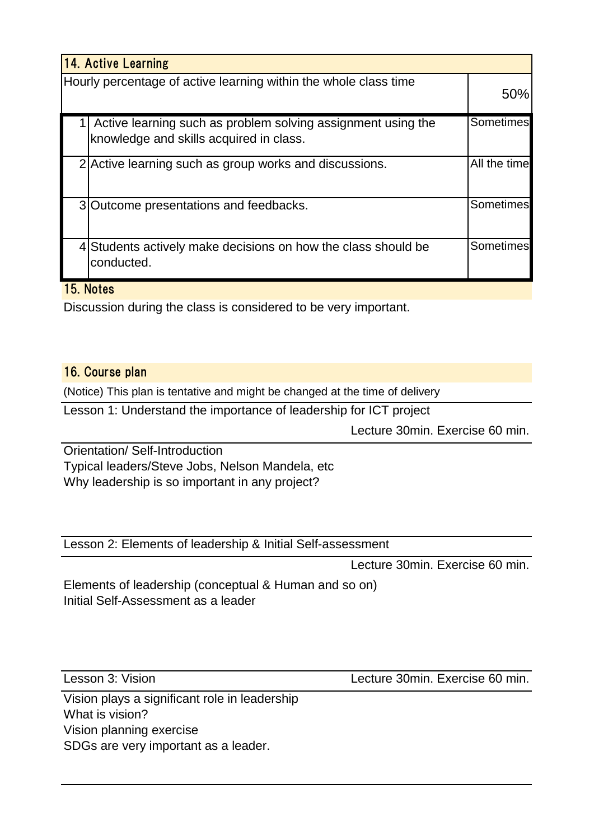| 14. Active Learning                                                                                     |                  |  |  |  |  |
|---------------------------------------------------------------------------------------------------------|------------------|--|--|--|--|
| Hourly percentage of active learning within the whole class time                                        |                  |  |  |  |  |
| Active learning such as problem solving assignment using the<br>knowledge and skills acquired in class. | <b>Sometimes</b> |  |  |  |  |
| 2 Active learning such as group works and discussions.                                                  | All the time     |  |  |  |  |
| 3 Outcome presentations and feedbacks.                                                                  | Sometimes        |  |  |  |  |
| 4 Students actively make decisions on how the class should be<br>conducted.                             | Sometimes        |  |  |  |  |

#### 15. Notes

Discussion during the class is considered to be very important.

#### 16. Course plan

(Notice) This plan is tentative and might be changed at the time of delivery

Lesson 1: Understand the importance of leadership for ICT project

Lecture 30min. Exercise 60 min.

Orientation/ Self-Introduction Typical leaders/Steve Jobs, Nelson Mandela, etc

Why leadership is so important in any project?

Lesson 2: Elements of leadership & Initial Self-assessment

Lecture 30min. Exercise 60 min.

Elements of leadership (conceptual & Human and so on) Initial Self-Assessment as a leader

Lesson 3: Vision Lecture 30min. Exercise 60 min.

Vision plays a significant role in leadership What is vision? Vision planning exercise SDGs are very important as a leader.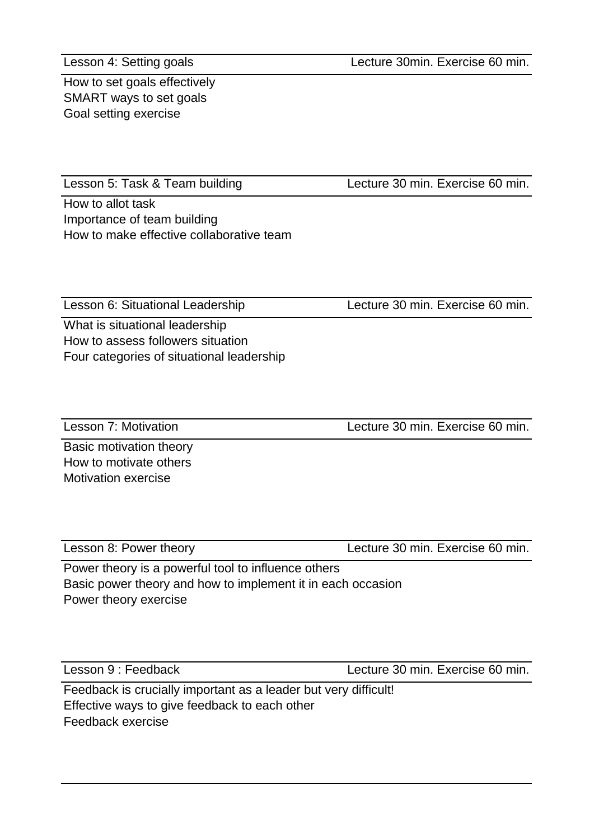Lesson 4: Setting goals

Lecture 30min. Exercise 60 min.

How to set goals effectively SMART ways to set goals Goal setting exercise

Lesson 5: Task & Team building

Lecture 30 min. Exercise 60 min.

How to allot task Importance of team building How to make effective collaborative team

Lesson 6: Situational Leadership Lecture 30 min. Exercise 60 min.

What is situational leadership How to assess followers situation Four categories of situational leadership

Lesson 7: Motivation Lecture 30 min. Exercise 60 min.

Basic motivation theory How to motivate others Motivation exercise

Lesson 8: Power theory Lecture 30 min. Exercise 60 min.

Power theory is a powerful tool to influence others Basic power theory and how to implement it in each occasion Power theory exercise

Lesson 9 : Feedback Lecture 30 min. Exercise 60 min.

Feedback is crucially important as a leader but very difficult! Effective ways to give feedback to each other Feedback exercise